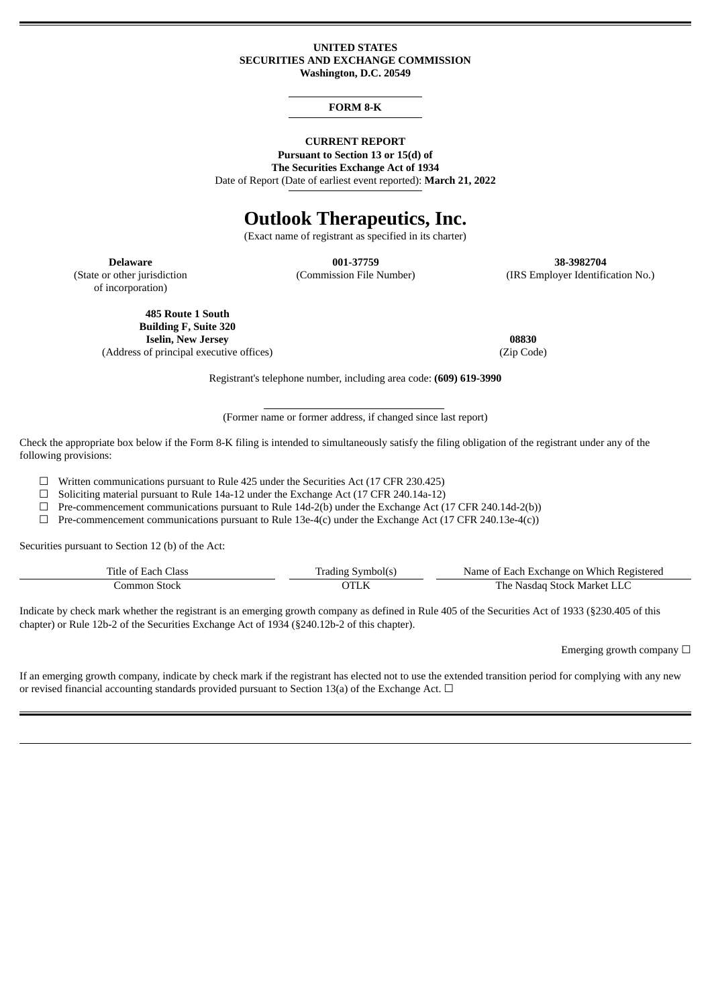#### **UNITED STATES SECURITIES AND EXCHANGE COMMISSION Washington, D.C. 20549**

#### **FORM 8-K**

## **CURRENT REPORT**

**Pursuant to Section 13 or 15(d) of The Securities Exchange Act of 1934**

Date of Report (Date of earliest event reported): **March 21, 2022**

# **Outlook Therapeutics, Inc.**

(Exact name of registrant as specified in its charter)

(State or other jurisdiction of incorporation)

**Delaware 001-37759 38-3982704**

(Commission File Number) (IRS Employer Identification No.)

**485 Route 1 South Building F, Suite 320 Iselin, New Jersey 08830** (Address of principal executive offices) (Zip Code)

Registrant's telephone number, including area code: **(609) 619-3990**

(Former name or former address, if changed since last report)

Check the appropriate box below if the Form 8-K filing is intended to simultaneously satisfy the filing obligation of the registrant under any of the following provisions:

☐ Written communications pursuant to Rule 425 under the Securities Act (17 CFR 230.425)

 $\Box$  Soliciting material pursuant to Rule 14a-12 under the Exchange Act (17 CFR 240.14a-12)

 $\Box$  Pre-commencement communications pursuant to Rule 14d-2(b) under the Exchange Act (17 CFR 240.14d-2(b))

 $\Box$  Pre-commencement communications pursuant to Rule 13e-4(c) under the Exchange Act (17 CFR 240.13e-4(c))

Securities pursuant to Section 12 (b) of the Act:

| Title of Each Class | Trading Symbol(s) | Name of Each Exchange on Which Registered |
|---------------------|-------------------|-------------------------------------------|
| -Stock<br>.ommon    |                   | The Nasdag Stock Market LLC               |

Indicate by check mark whether the registrant is an emerging growth company as defined in Rule 405 of the Securities Act of 1933 (§230.405 of this chapter) or Rule 12b-2 of the Securities Exchange Act of 1934 (§240.12b-2 of this chapter).

Emerging growth company  $\Box$ 

If an emerging growth company, indicate by check mark if the registrant has elected not to use the extended transition period for complying with any new or revised financial accounting standards provided pursuant to Section 13(a) of the Exchange Act.  $\Box$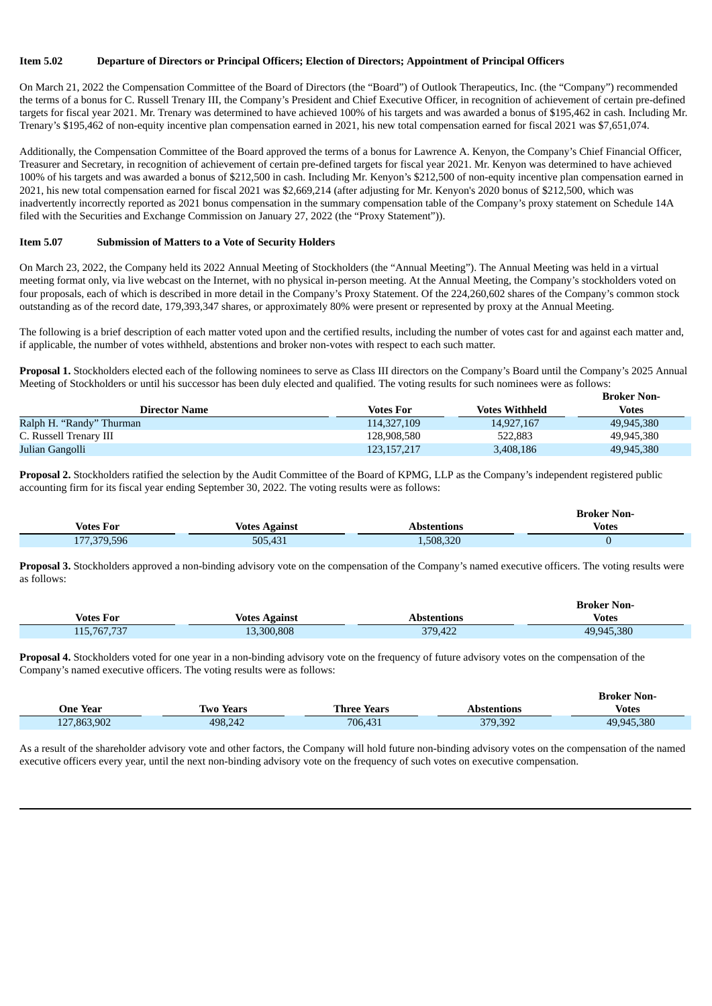#### **Item 5.02 Departure of Directors or Principal Officers; Election of Directors; Appointment of Principal Officers**

On March 21, 2022 the Compensation Committee of the Board of Directors (the "Board") of Outlook Therapeutics, Inc. (the "Company") recommended the terms of a bonus for C. Russell Trenary III, the Company's President and Chief Executive Officer, in recognition of achievement of certain pre-defined targets for fiscal year 2021. Mr. Trenary was determined to have achieved 100% of his targets and was awarded a bonus of \$195,462 in cash. Including Mr. Trenary's \$195,462 of non-equity incentive plan compensation earned in 2021, his new total compensation earned for fiscal 2021 was \$7,651,074.

Additionally, the Compensation Committee of the Board approved the terms of a bonus for Lawrence A. Kenyon, the Company's Chief Financial Officer, Treasurer and Secretary, in recognition of achievement of certain pre-defined targets for fiscal year 2021. Mr. Kenyon was determined to have achieved 100% of his targets and was awarded a bonus of \$212,500 in cash. Including Mr. Kenyon's \$212,500 of non-equity incentive plan compensation earned in 2021, his new total compensation earned for fiscal 2021 was \$2,669,214 (after adjusting for Mr. Kenyon's 2020 bonus of \$212,500, which was inadvertently incorrectly reported as 2021 bonus compensation in the summary compensation table of the Company's proxy statement on Schedule 14A filed with the Securities and Exchange Commission on January 27, 2022 (the "Proxy Statement")).

#### **Item 5.07 Submission of Matters to a Vote of Security Holders**

On March 23, 2022, the Company held its 2022 Annual Meeting of Stockholders (the "Annual Meeting"). The Annual Meeting was held in a virtual meeting format only, via live webcast on the Internet, with no physical in-person meeting. At the Annual Meeting, the Company's stockholders voted on four proposals, each of which is described in more detail in the Company's Proxy Statement. Of the 224,260,602 shares of the Company's common stock outstanding as of the record date, 179,393,347 shares, or approximately 80% were present or represented by proxy at the Annual Meeting.

The following is a brief description of each matter voted upon and the certified results, including the number of votes cast for and against each matter and, if applicable, the number of votes withheld, abstentions and broker non-votes with respect to each such matter.

**Proposal 1.** Stockholders elected each of the following nominees to serve as Class III directors on the Company's Board until the Company's 2025 Annual Meeting of Stockholders or until his successor has been duly elected and qualified. The voting results for such nominees were as follows:

|                          |                  |                       | <b>Broker Non-</b> |
|--------------------------|------------------|-----------------------|--------------------|
| <b>Director Name</b>     | <b>Votes For</b> | <b>Votes Withheld</b> | Votes              |
| Ralph H. "Randy" Thurman | 114,327,109      | 14.927.167            | 49,945,380         |
| C. Russell Trenary III   | 128.908.580      | 522,883               | 49,945,380         |
| Julian Gangolli          | 123,157,217      | 3,408,186             | 49,945,380         |

**Proposal 2.** Stockholders ratified the selection by the Audit Committee of the Board of KPMG, LLP as the Company's independent registered public accounting firm for its fiscal year ending September 30, 2022. The voting results were as follows:

|                  |               |             | Broker Non-  |
|------------------|---------------|-------------|--------------|
| <b>Votes For</b> | Votes Against | Abstentions | <b>Votes</b> |
| 177,379,596      | 505,431       | 1,508,320   |              |

**Proposal 3.** Stockholders approved a non-binding advisory vote on the compensation of the Company's named executive officers. The voting results were as follows:

|                  |                      |             | <b>Broker Non-</b> |
|------------------|----------------------|-------------|--------------------|
| <b>Votes For</b> | <b>Votes Against</b> | Abstentions | <b>Votes</b>       |
| 115,767,737      | 13,300,808           | 379,422     | 49.945.380         |

**Proposal 4.** Stockholders voted for one year in a non-binding advisory vote on the frequency of future advisory votes on the compensation of the Company's named executive officers. The voting results were as follows:

|                 |                  |                    |             | <b>Broker Non-</b> |
|-----------------|------------------|--------------------|-------------|--------------------|
| <b>One Year</b> | <b>Two Years</b> | <b>Three Years</b> | Abstentions | Votes              |
| 127,863,902     | 498.242          | 706,431            | 379,392     | 49.945.380         |

As a result of the shareholder advisory vote and other factors, the Company will hold future non-binding advisory votes on the compensation of the named executive officers every year, until the next non-binding advisory vote on the frequency of such votes on executive compensation.